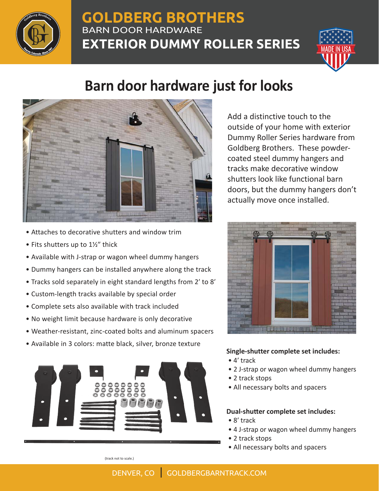

## **GOLDBERG BROTHERS** BARN DOOR HARDWARE **EXTERIOR DUMMY ROLLER SERIES**



# **Barn door hardware just for looks**



Add a distinctive touch to the outside of your home with exterior Dummy Roller Series hardware from Goldberg Brothers. These powdercoated steel dummy hangers and tracks make decorative window shutters look like functional barn doors, but the dummy hangers don't actually move once installed.

- Attaches to decorative shutters and window trim  $\bullet$  Fits shutters up to  $1\frac{1}{2}$ " thick
- Available with J-strap or wagon wheel dummy hangers
- Dummy hangers can be installed anywhere along the track
- Tracks sold separately in eight standard lengths from 2ʹ to 8ʹ
- Custom-length tracks available by special order
- Complete sets also available with track included
- No weight limit because hardware is only decorative
- Weather-resistant, zinc-coated bolts and aluminum spacers
- Available in 3 colors: matte black, silver, bronze texture



### **Single-shutter complete set includes:**

- 4ʹ track
- 2 J-strap or wagon wheel dummy hangers
- 2 track stops
- All necessary bolts and spacers

### **Dual-shutter complete set includes:**

- 8ʹ track
- 4 J-strap or wagon wheel dummy hangers
- 2 track stops
- All necessary bolts and spacers

(track not to scale.)